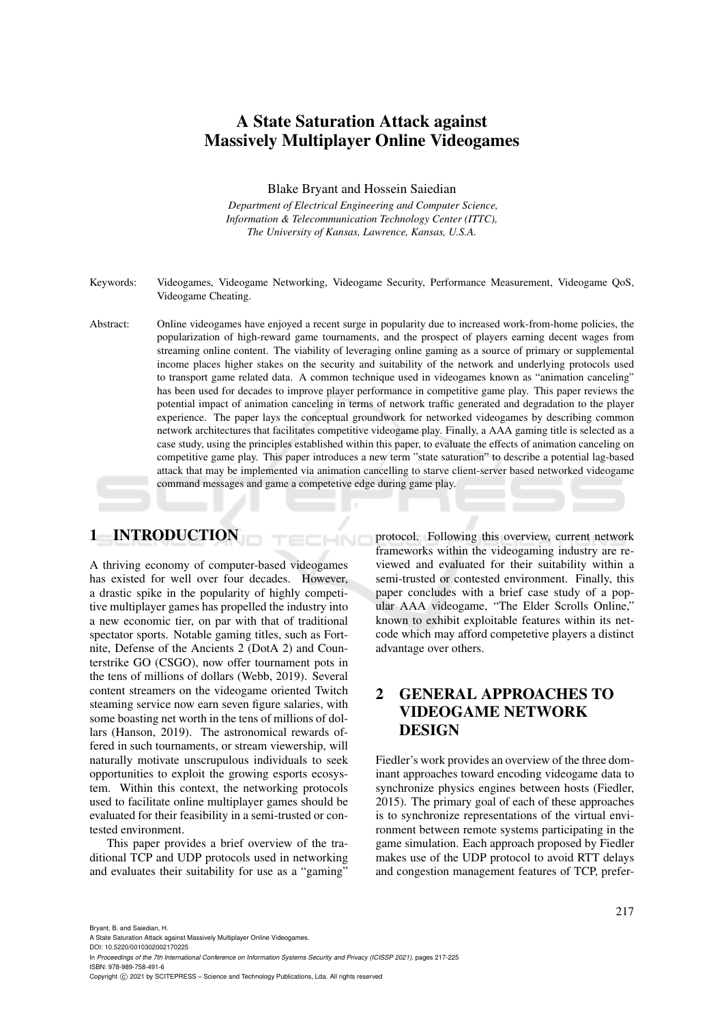# A State Saturation Attack against Massively Multiplayer Online Videogames

Blake Bryant and Hossein Saiedian

*Department of Electrical Engineering and Computer Science, Information & Telecommunication Technology Center (ITTC), The University of Kansas, Lawrence, Kansas, U.S.A.*

- Keywords: Videogames, Videogame Networking, Videogame Security, Performance Measurement, Videogame QoS, Videogame Cheating.
- Abstract: Online videogames have enjoyed a recent surge in popularity due to increased work-from-home policies, the popularization of high-reward game tournaments, and the prospect of players earning decent wages from streaming online content. The viability of leveraging online gaming as a source of primary or supplemental income places higher stakes on the security and suitability of the network and underlying protocols used to transport game related data. A common technique used in videogames known as "animation canceling" has been used for decades to improve player performance in competitive game play. This paper reviews the potential impact of animation canceling in terms of network traffic generated and degradation to the player experience. The paper lays the conceptual groundwork for networked videogames by describing common network architectures that facilitates competitive videogame play. Finally, a AAA gaming title is selected as a case study, using the principles established within this paper, to evaluate the effects of animation canceling on competitive game play. This paper introduces a new term "state saturation" to describe a potential lag-based attack that may be implemented via animation cancelling to starve client-server based networked videogame command messages and game a competetive edge during game play.

HNC

# 1 INTRODUCTION

A thriving economy of computer-based videogames has existed for well over four decades. However, a drastic spike in the popularity of highly competitive multiplayer games has propelled the industry into a new economic tier, on par with that of traditional spectator sports. Notable gaming titles, such as Fortnite, Defense of the Ancients 2 (DotA 2) and Counterstrike GO (CSGO), now offer tournament pots in the tens of millions of dollars (Webb, 2019). Several content streamers on the videogame oriented Twitch steaming service now earn seven figure salaries, with some boasting net worth in the tens of millions of dollars (Hanson, 2019). The astronomical rewards offered in such tournaments, or stream viewership, will naturally motivate unscrupulous individuals to seek opportunities to exploit the growing esports ecosystem. Within this context, the networking protocols used to facilitate online multiplayer games should be evaluated for their feasibility in a semi-trusted or contested environment.

This paper provides a brief overview of the traditional TCP and UDP protocols used in networking and evaluates their suitability for use as a "gaming"

protocol. Following this overview, current network frameworks within the videogaming industry are reviewed and evaluated for their suitability within a semi-trusted or contested environment. Finally, this paper concludes with a brief case study of a popular AAA videogame, "The Elder Scrolls Online," known to exhibit exploitable features within its netcode which may afford competetive players a distinct advantage over others.

# 2 GENERAL APPROACHES TO VIDEOGAME NETWORK DESIGN

Fiedler's work provides an overview of the three dominant approaches toward encoding videogame data to synchronize physics engines between hosts (Fiedler, 2015). The primary goal of each of these approaches is to synchronize representations of the virtual environment between remote systems participating in the game simulation. Each approach proposed by Fiedler makes use of the UDP protocol to avoid RTT delays and congestion management features of TCP, prefer-

Bryant, B. and Saiedian, H.

A State Saturation Attack against Massively Multiplayer Online Videogames.

DOI: 10.5220/0010302002170225

In *Proceedings of the 7th International Conference on Information Systems Security and Privacy (ICISSP 2021)*, pages 217-225 ISBN: 978-989-758-491-6

Copyright © 2021 by SCITEPRESS - Science and Technology Publications, Lda. All rights reserved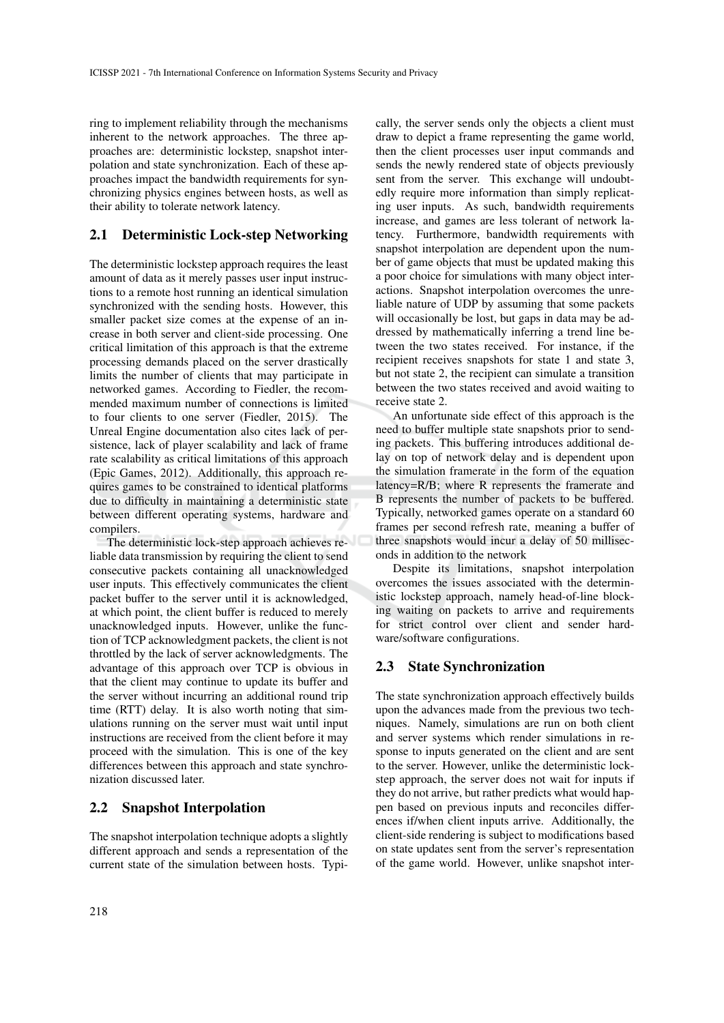ring to implement reliability through the mechanisms inherent to the network approaches. The three approaches are: deterministic lockstep, snapshot interpolation and state synchronization. Each of these approaches impact the bandwidth requirements for synchronizing physics engines between hosts, as well as their ability to tolerate network latency.

## 2.1 Deterministic Lock-step Networking

The deterministic lockstep approach requires the least amount of data as it merely passes user input instructions to a remote host running an identical simulation synchronized with the sending hosts. However, this smaller packet size comes at the expense of an increase in both server and client-side processing. One critical limitation of this approach is that the extreme processing demands placed on the server drastically limits the number of clients that may participate in networked games. According to Fiedler, the recommended maximum number of connections is limited to four clients to one server (Fiedler, 2015). The Unreal Engine documentation also cites lack of persistence, lack of player scalability and lack of frame rate scalability as critical limitations of this approach (Epic Games, 2012). Additionally, this approach requires games to be constrained to identical platforms due to difficulty in maintaining a deterministic state between different operating systems, hardware and compilers.

The deterministic lock-step approach achieves reliable data transmission by requiring the client to send consecutive packets containing all unacknowledged user inputs. This effectively communicates the client packet buffer to the server until it is acknowledged, at which point, the client buffer is reduced to merely unacknowledged inputs. However, unlike the function of TCP acknowledgment packets, the client is not throttled by the lack of server acknowledgments. The advantage of this approach over TCP is obvious in that the client may continue to update its buffer and the server without incurring an additional round trip time (RTT) delay. It is also worth noting that simulations running on the server must wait until input instructions are received from the client before it may proceed with the simulation. This is one of the key differences between this approach and state synchronization discussed later.

### 2.2 Snapshot Interpolation

The snapshot interpolation technique adopts a slightly different approach and sends a representation of the current state of the simulation between hosts. Typically, the server sends only the objects a client must draw to depict a frame representing the game world, then the client processes user input commands and sends the newly rendered state of objects previously sent from the server. This exchange will undoubtedly require more information than simply replicating user inputs. As such, bandwidth requirements increase, and games are less tolerant of network latency. Furthermore, bandwidth requirements with snapshot interpolation are dependent upon the number of game objects that must be updated making this a poor choice for simulations with many object interactions. Snapshot interpolation overcomes the unreliable nature of UDP by assuming that some packets will occasionally be lost, but gaps in data may be addressed by mathematically inferring a trend line between the two states received. For instance, if the recipient receives snapshots for state 1 and state 3, but not state 2, the recipient can simulate a transition between the two states received and avoid waiting to receive state 2.

An unfortunate side effect of this approach is the need to buffer multiple state snapshots prior to sending packets. This buffering introduces additional delay on top of network delay and is dependent upon the simulation framerate in the form of the equation latency=R/B; where R represents the framerate and B represents the number of packets to be buffered. Typically, networked games operate on a standard 60 frames per second refresh rate, meaning a buffer of three snapshots would incur a delay of 50 milliseconds in addition to the network

Despite its limitations, snapshot interpolation overcomes the issues associated with the deterministic lockstep approach, namely head-of-line blocking waiting on packets to arrive and requirements for strict control over client and sender hardware/software configurations.

### 2.3 State Synchronization

The state synchronization approach effectively builds upon the advances made from the previous two techniques. Namely, simulations are run on both client and server systems which render simulations in response to inputs generated on the client and are sent to the server. However, unlike the deterministic lockstep approach, the server does not wait for inputs if they do not arrive, but rather predicts what would happen based on previous inputs and reconciles differences if/when client inputs arrive. Additionally, the client-side rendering is subject to modifications based on state updates sent from the server's representation of the game world. However, unlike snapshot inter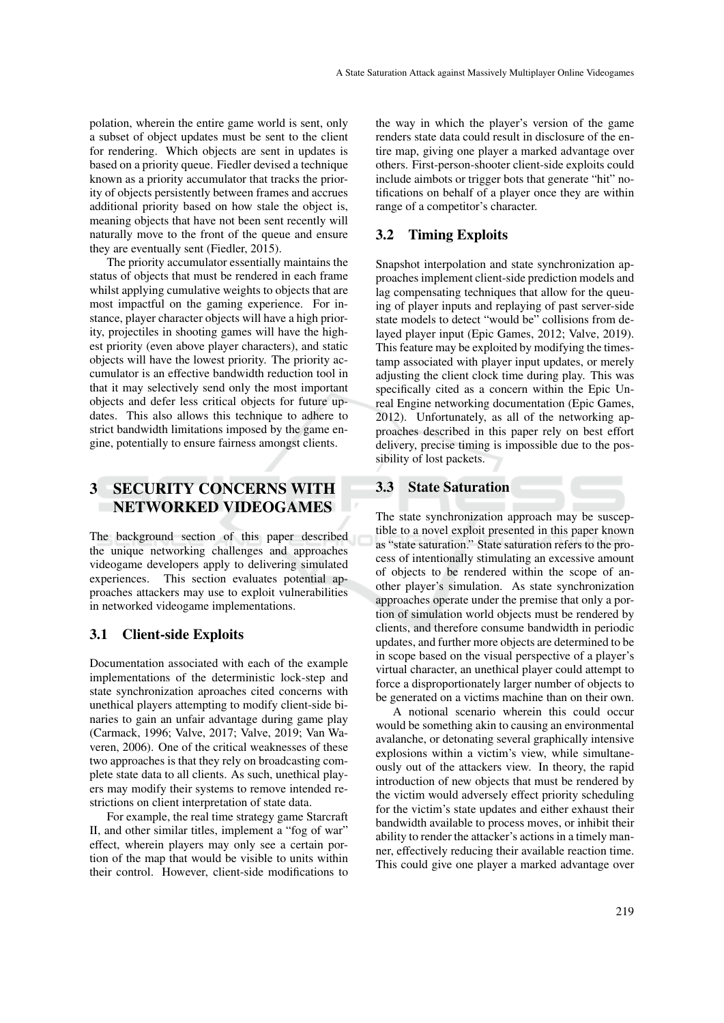polation, wherein the entire game world is sent, only a subset of object updates must be sent to the client for rendering. Which objects are sent in updates is based on a priority queue. Fiedler devised a technique known as a priority accumulator that tracks the priority of objects persistently between frames and accrues additional priority based on how stale the object is, meaning objects that have not been sent recently will naturally move to the front of the queue and ensure they are eventually sent (Fiedler, 2015).

The priority accumulator essentially maintains the status of objects that must be rendered in each frame whilst applying cumulative weights to objects that are most impactful on the gaming experience. For instance, player character objects will have a high priority, projectiles in shooting games will have the highest priority (even above player characters), and static objects will have the lowest priority. The priority accumulator is an effective bandwidth reduction tool in that it may selectively send only the most important objects and defer less critical objects for future updates. This also allows this technique to adhere to strict bandwidth limitations imposed by the game engine, potentially to ensure fairness amongst clients.

# 3 SECURITY CONCERNS WITH NETWORKED VIDEOGAMES

The background section of this paper described the unique networking challenges and approaches videogame developers apply to delivering simulated experiences. This section evaluates potential approaches attackers may use to exploit vulnerabilities in networked videogame implementations.

#### 3.1 Client-side Exploits

Documentation associated with each of the example implementations of the deterministic lock-step and state synchronization aproaches cited concerns with unethical players attempting to modify client-side binaries to gain an unfair advantage during game play (Carmack, 1996; Valve, 2017; Valve, 2019; Van Waveren, 2006). One of the critical weaknesses of these two approaches is that they rely on broadcasting complete state data to all clients. As such, unethical players may modify their systems to remove intended restrictions on client interpretation of state data.

For example, the real time strategy game Starcraft II, and other similar titles, implement a "fog of war" effect, wherein players may only see a certain portion of the map that would be visible to units within their control. However, client-side modifications to

the way in which the player's version of the game renders state data could result in disclosure of the entire map, giving one player a marked advantage over others. First-person-shooter client-side exploits could include aimbots or trigger bots that generate "hit" notifications on behalf of a player once they are within range of a competitor's character.

#### 3.2 Timing Exploits

Snapshot interpolation and state synchronization approaches implement client-side prediction models and lag compensating techniques that allow for the queuing of player inputs and replaying of past server-side state models to detect "would be" collisions from delayed player input (Epic Games, 2012; Valve, 2019). This feature may be exploited by modifying the timestamp associated with player input updates, or merely adjusting the client clock time during play. This was specifically cited as a concern within the Epic Unreal Engine networking documentation (Epic Games, 2012). Unfortunately, as all of the networking approaches described in this paper rely on best effort delivery, precise timing is impossible due to the possibility of lost packets.

#### 3.3 State Saturation

The state synchronization approach may be susceptible to a novel exploit presented in this paper known as "state saturation." State saturation refers to the process of intentionally stimulating an excessive amount of objects to be rendered within the scope of another player's simulation. As state synchronization approaches operate under the premise that only a portion of simulation world objects must be rendered by clients, and therefore consume bandwidth in periodic updates, and further more objects are determined to be in scope based on the visual perspective of a player's virtual character, an unethical player could attempt to force a disproportionately larger number of objects to be generated on a victims machine than on their own.

A notional scenario wherein this could occur would be something akin to causing an environmental avalanche, or detonating several graphically intensive explosions within a victim's view, while simultaneously out of the attackers view. In theory, the rapid introduction of new objects that must be rendered by the victim would adversely effect priority scheduling for the victim's state updates and either exhaust their bandwidth available to process moves, or inhibit their ability to render the attacker's actions in a timely manner, effectively reducing their available reaction time. This could give one player a marked advantage over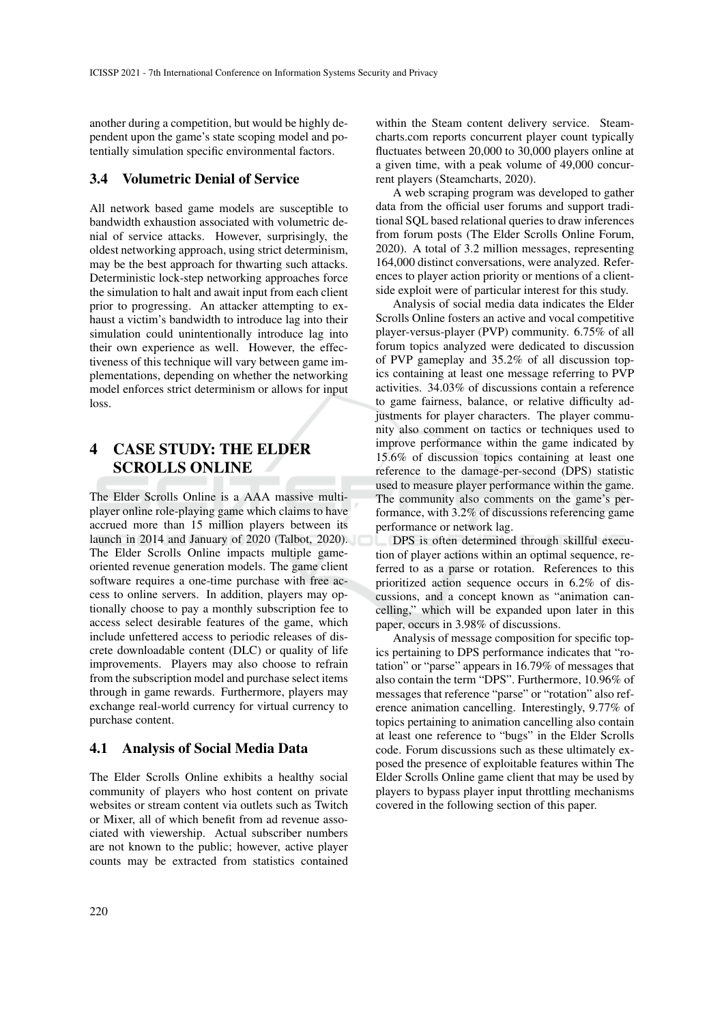another during a competition, but would be highly dependent upon the game's state scoping model and potentially simulation specific environmental factors.

#### 3.4 Volumetric Denial of Service

All network based game models are susceptible to bandwidth exhaustion associated with volumetric denial of service attacks. However, surprisingly, the oldest networking approach, using strict determinism, may be the best approach for thwarting such attacks. Deterministic lock-step networking approaches force the simulation to halt and await input from each client prior to progressing. An attacker attempting to exhaust a victim's bandwidth to introduce lag into their simulation could unintentionally introduce lag into their own experience as well. However, the effectiveness of this technique will vary between game implementations, depending on whether the networking model enforces strict determinism or allows for input loss.

# 4 CASE STUDY: THE ELDER SCROLLS ONLINE

The Elder Scrolls Online is a AAA massive multiplayer online role-playing game which claims to have accrued more than 15 million players between its launch in 2014 and January of 2020 (Talbot, 2020). The Elder Scrolls Online impacts multiple gameoriented revenue generation models. The game client software requires a one-time purchase with free access to online servers. In addition, players may optionally choose to pay a monthly subscription fee to access select desirable features of the game, which include unfettered access to periodic releases of discrete downloadable content (DLC) or quality of life improvements. Players may also choose to refrain from the subscription model and purchase select items through in game rewards. Furthermore, players may exchange real-world currency for virtual currency to purchase content.

### 4.1 Analysis of Social Media Data

The Elder Scrolls Online exhibits a healthy social community of players who host content on private websites or stream content via outlets such as Twitch or Mixer, all of which benefit from ad revenue associated with viewership. Actual subscriber numbers are not known to the public; however, active player counts may be extracted from statistics contained within the Steam content delivery service. Steamcharts.com reports concurrent player count typically fluctuates between 20,000 to 30,000 players online at a given time, with a peak volume of 49,000 concurrent players (Steamcharts, 2020).

A web scraping program was developed to gather data from the official user forums and support traditional SQL based relational queries to draw inferences from forum posts (The Elder Scrolls Online Forum, 2020). A total of 3.2 million messages, representing 164,000 distinct conversations, were analyzed. References to player action priority or mentions of a clientside exploit were of particular interest for this study.

Analysis of social media data indicates the Elder Scrolls Online fosters an active and vocal competitive player-versus-player (PVP) community. 6.75% of all forum topics analyzed were dedicated to discussion of PVP gameplay and 35.2% of all discussion topics containing at least one message referring to PVP activities. 34.03% of discussions contain a reference to game fairness, balance, or relative difficulty adjustments for player characters. The player community also comment on tactics or techniques used to improve performance within the game indicated by 15.6% of discussion topics containing at least one reference to the damage-per-second (DPS) statistic used to measure player performance within the game. The community also comments on the game's performance, with 3.2% of discussions referencing game performance or network lag.

DPS is often determined through skillful execution of player actions within an optimal sequence, referred to as a parse or rotation. References to this prioritized action sequence occurs in 6.2% of discussions, and a concept known as "animation cancelling," which will be expanded upon later in this paper, occurs in 3.98% of discussions.

Analysis of message composition for specific topics pertaining to DPS performance indicates that "rotation" or "parse" appears in 16.79% of messages that also contain the term "DPS". Furthermore, 10.96% of messages that reference "parse" or "rotation" also reference animation cancelling. Interestingly, 9.77% of topics pertaining to animation cancelling also contain at least one reference to "bugs" in the Elder Scrolls code. Forum discussions such as these ultimately exposed the presence of exploitable features within The Elder Scrolls Online game client that may be used by players to bypass player input throttling mechanisms covered in the following section of this paper.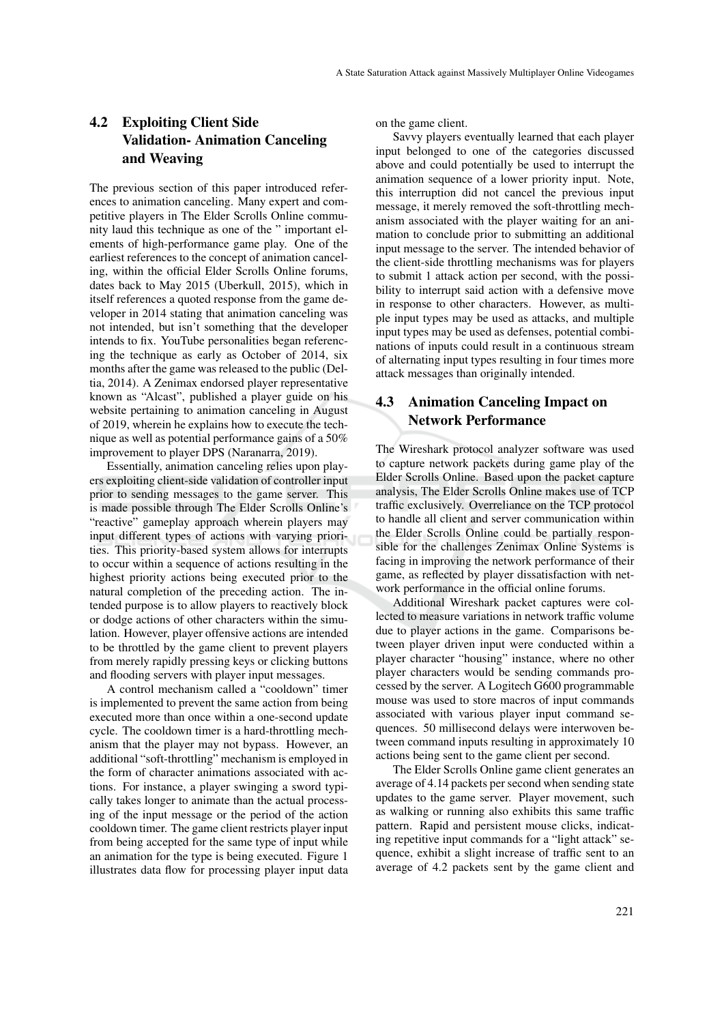## 4.2 Exploiting Client Side Validation- Animation Canceling and Weaving

The previous section of this paper introduced references to animation canceling. Many expert and competitive players in The Elder Scrolls Online community laud this technique as one of the " important elements of high-performance game play. One of the earliest references to the concept of animation canceling, within the official Elder Scrolls Online forums, dates back to May 2015 (Uberkull, 2015), which in itself references a quoted response from the game developer in 2014 stating that animation canceling was not intended, but isn't something that the developer intends to fix. YouTube personalities began referencing the technique as early as October of 2014, six months after the game was released to the public (Deltia, 2014). A Zenimax endorsed player representative known as "Alcast", published a player guide on his website pertaining to animation canceling in August of 2019, wherein he explains how to execute the technique as well as potential performance gains of a 50% improvement to player DPS (Naranarra, 2019).

Essentially, animation canceling relies upon players exploiting client-side validation of controller input prior to sending messages to the game server. This is made possible through The Elder Scrolls Online's "reactive" gameplay approach wherein players may input different types of actions with varying priorities. This priority-based system allows for interrupts to occur within a sequence of actions resulting in the highest priority actions being executed prior to the natural completion of the preceding action. The intended purpose is to allow players to reactively block or dodge actions of other characters within the simulation. However, player offensive actions are intended to be throttled by the game client to prevent players from merely rapidly pressing keys or clicking buttons and flooding servers with player input messages.

A control mechanism called a "cooldown" timer is implemented to prevent the same action from being executed more than once within a one-second update cycle. The cooldown timer is a hard-throttling mechanism that the player may not bypass. However, an additional "soft-throttling" mechanism is employed in the form of character animations associated with actions. For instance, a player swinging a sword typically takes longer to animate than the actual processing of the input message or the period of the action cooldown timer. The game client restricts player input from being accepted for the same type of input while an animation for the type is being executed. Figure 1 illustrates data flow for processing player input data on the game client.

Savvy players eventually learned that each player input belonged to one of the categories discussed above and could potentially be used to interrupt the animation sequence of a lower priority input. Note, this interruption did not cancel the previous input message, it merely removed the soft-throttling mechanism associated with the player waiting for an animation to conclude prior to submitting an additional input message to the server. The intended behavior of the client-side throttling mechanisms was for players to submit 1 attack action per second, with the possibility to interrupt said action with a defensive move in response to other characters. However, as multiple input types may be used as attacks, and multiple input types may be used as defenses, potential combinations of inputs could result in a continuous stream of alternating input types resulting in four times more attack messages than originally intended.

## 4.3 Animation Canceling Impact on Network Performance

The Wireshark protocol analyzer software was used to capture network packets during game play of the Elder Scrolls Online. Based upon the packet capture analysis, The Elder Scrolls Online makes use of TCP traffic exclusively. Overreliance on the TCP protocol to handle all client and server communication within the Elder Scrolls Online could be partially responsible for the challenges Zenimax Online Systems is facing in improving the network performance of their game, as reflected by player dissatisfaction with network performance in the official online forums.

Additional Wireshark packet captures were collected to measure variations in network traffic volume due to player actions in the game. Comparisons between player driven input were conducted within a player character "housing" instance, where no other player characters would be sending commands processed by the server. A Logitech G600 programmable mouse was used to store macros of input commands associated with various player input command sequences. 50 millisecond delays were interwoven between command inputs resulting in approximately 10 actions being sent to the game client per second.

The Elder Scrolls Online game client generates an average of 4.14 packets per second when sending state updates to the game server. Player movement, such as walking or running also exhibits this same traffic pattern. Rapid and persistent mouse clicks, indicating repetitive input commands for a "light attack" sequence, exhibit a slight increase of traffic sent to an average of 4.2 packets sent by the game client and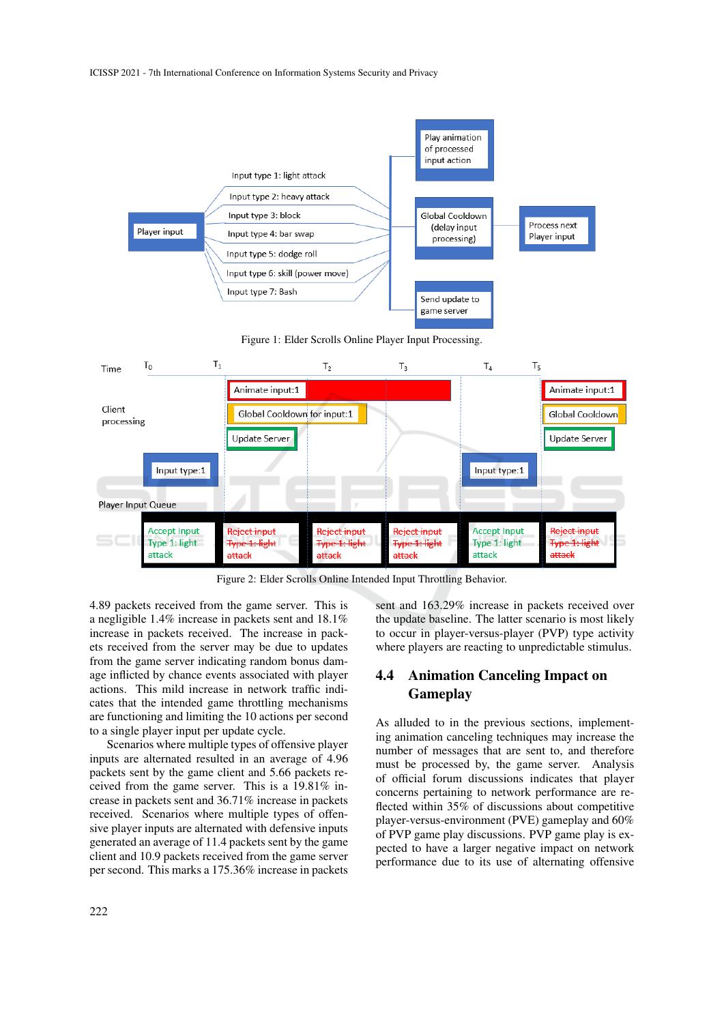

Figure 2: Elder Scrolls Online Intended Input Throttling Behavior.

4.89 packets received from the game server. This is a negligible 1.4% increase in packets sent and 18.1% increase in packets received. The increase in packets received from the server may be due to updates from the game server indicating random bonus damage inflicted by chance events associated with player actions. This mild increase in network traffic indicates that the intended game throttling mechanisms are functioning and limiting the 10 actions per second to a single player input per update cycle.

Scenarios where multiple types of offensive player inputs are alternated resulted in an average of 4.96 packets sent by the game client and 5.66 packets received from the game server. This is a 19.81% increase in packets sent and 36.71% increase in packets received. Scenarios where multiple types of offensive player inputs are alternated with defensive inputs generated an average of 11.4 packets sent by the game client and 10.9 packets received from the game server per second. This marks a 175.36% increase in packets

sent and 163.29% increase in packets received over the update baseline. The latter scenario is most likely to occur in player-versus-player (PVP) type activity where players are reacting to unpredictable stimulus.

## 4.4 Animation Canceling Impact on Gameplay

As alluded to in the previous sections, implementing animation canceling techniques may increase the number of messages that are sent to, and therefore must be processed by, the game server. Analysis of official forum discussions indicates that player concerns pertaining to network performance are reflected within 35% of discussions about competitive player-versus-environment (PVE) gameplay and 60% of PVP game play discussions. PVP game play is expected to have a larger negative impact on network performance due to its use of alternating offensive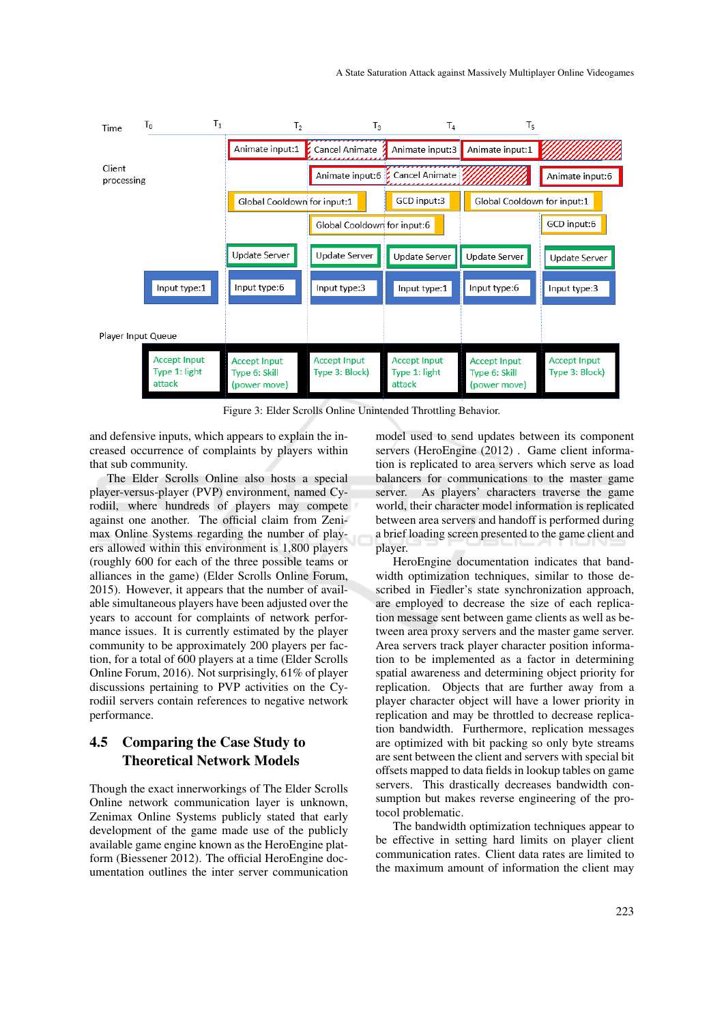

Figure 3: Elder Scrolls Online Unintended Throttling Behavior.

and defensive inputs, which appears to explain the increased occurrence of complaints by players within that sub community.

The Elder Scrolls Online also hosts a special player-versus-player (PVP) environment, named Cyrodiil, where hundreds of players may compete against one another. The official claim from Zenimax Online Systems regarding the number of players allowed within this environment is 1,800 players (roughly 600 for each of the three possible teams or alliances in the game) (Elder Scrolls Online Forum, 2015). However, it appears that the number of available simultaneous players have been adjusted over the years to account for complaints of network performance issues. It is currently estimated by the player community to be approximately 200 players per faction, for a total of 600 players at a time (Elder Scrolls Online Forum, 2016). Not surprisingly, 61% of player discussions pertaining to PVP activities on the Cyrodiil servers contain references to negative network performance.

## 4.5 Comparing the Case Study to Theoretical Network Models

Though the exact innerworkings of The Elder Scrolls Online network communication layer is unknown, Zenimax Online Systems publicly stated that early development of the game made use of the publicly available game engine known as the HeroEngine platform (Biessener 2012). The official HeroEngine documentation outlines the inter server communication model used to send updates between its component servers (HeroEngine (2012) . Game client information is replicated to area servers which serve as load balancers for communications to the master game server. As players' characters traverse the game world, their character model information is replicated between area servers and handoff is performed during a brief loading screen presented to the game client and player.

HeroEngine documentation indicates that bandwidth optimization techniques, similar to those described in Fiedler's state synchronization approach, are employed to decrease the size of each replication message sent between game clients as well as between area proxy servers and the master game server. Area servers track player character position information to be implemented as a factor in determining spatial awareness and determining object priority for replication. Objects that are further away from a player character object will have a lower priority in replication and may be throttled to decrease replication bandwidth. Furthermore, replication messages are optimized with bit packing so only byte streams are sent between the client and servers with special bit offsets mapped to data fields in lookup tables on game servers. This drastically decreases bandwidth consumption but makes reverse engineering of the protocol problematic.

The bandwidth optimization techniques appear to be effective in setting hard limits on player client communication rates. Client data rates are limited to the maximum amount of information the client may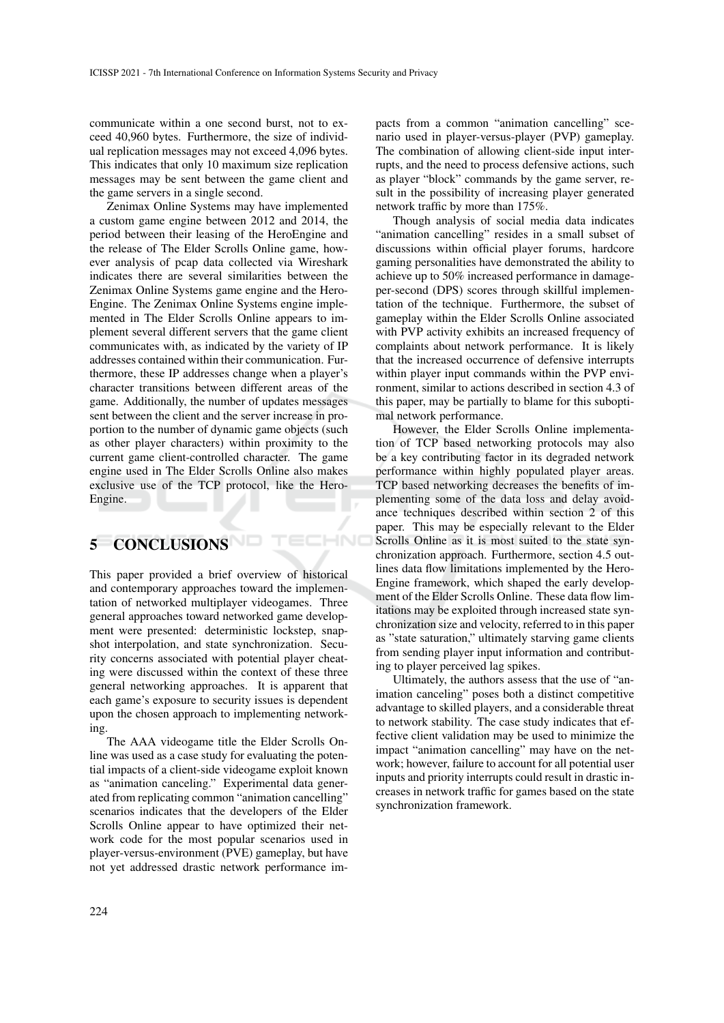communicate within a one second burst, not to exceed 40,960 bytes. Furthermore, the size of individual replication messages may not exceed 4,096 bytes. This indicates that only 10 maximum size replication messages may be sent between the game client and the game servers in a single second.

Zenimax Online Systems may have implemented a custom game engine between 2012 and 2014, the period between their leasing of the HeroEngine and the release of The Elder Scrolls Online game, however analysis of pcap data collected via Wireshark indicates there are several similarities between the Zenimax Online Systems game engine and the Hero-Engine. The Zenimax Online Systems engine implemented in The Elder Scrolls Online appears to implement several different servers that the game client communicates with, as indicated by the variety of IP addresses contained within their communication. Furthermore, these IP addresses change when a player's character transitions between different areas of the game. Additionally, the number of updates messages sent between the client and the server increase in proportion to the number of dynamic game objects (such as other player characters) within proximity to the current game client-controlled character. The game engine used in The Elder Scrolls Online also makes exclusive use of the TCP protocol, like the Hero-Engine.

# 5 CONCLUSIONS

This paper provided a brief overview of historical and contemporary approaches toward the implementation of networked multiplayer videogames. Three general approaches toward networked game development were presented: deterministic lockstep, snapshot interpolation, and state synchronization. Security concerns associated with potential player cheating were discussed within the context of these three general networking approaches. It is apparent that each game's exposure to security issues is dependent upon the chosen approach to implementing networking.

HNO

The AAA videogame title the Elder Scrolls Online was used as a case study for evaluating the potential impacts of a client-side videogame exploit known as "animation canceling." Experimental data generated from replicating common "animation cancelling" scenarios indicates that the developers of the Elder Scrolls Online appear to have optimized their network code for the most popular scenarios used in player-versus-environment (PVE) gameplay, but have not yet addressed drastic network performance impacts from a common "animation cancelling" scenario used in player-versus-player (PVP) gameplay. The combination of allowing client-side input interrupts, and the need to process defensive actions, such as player "block" commands by the game server, result in the possibility of increasing player generated network traffic by more than 175%.

Though analysis of social media data indicates "animation cancelling" resides in a small subset of discussions within official player forums, hardcore gaming personalities have demonstrated the ability to achieve up to 50% increased performance in damageper-second (DPS) scores through skillful implementation of the technique. Furthermore, the subset of gameplay within the Elder Scrolls Online associated with PVP activity exhibits an increased frequency of complaints about network performance. It is likely that the increased occurrence of defensive interrupts within player input commands within the PVP environment, similar to actions described in section 4.3 of this paper, may be partially to blame for this suboptimal network performance.

However, the Elder Scrolls Online implementation of TCP based networking protocols may also be a key contributing factor in its degraded network performance within highly populated player areas. TCP based networking decreases the benefits of implementing some of the data loss and delay avoidance techniques described within section 2 of this paper. This may be especially relevant to the Elder Scrolls Online as it is most suited to the state synchronization approach. Furthermore, section 4.5 outlines data flow limitations implemented by the Hero-Engine framework, which shaped the early development of the Elder Scrolls Online. These data flow limitations may be exploited through increased state synchronization size and velocity, referred to in this paper as "state saturation," ultimately starving game clients from sending player input information and contributing to player perceived lag spikes.

Ultimately, the authors assess that the use of "animation canceling" poses both a distinct competitive advantage to skilled players, and a considerable threat to network stability. The case study indicates that effective client validation may be used to minimize the impact "animation cancelling" may have on the network; however, failure to account for all potential user inputs and priority interrupts could result in drastic increases in network traffic for games based on the state synchronization framework.